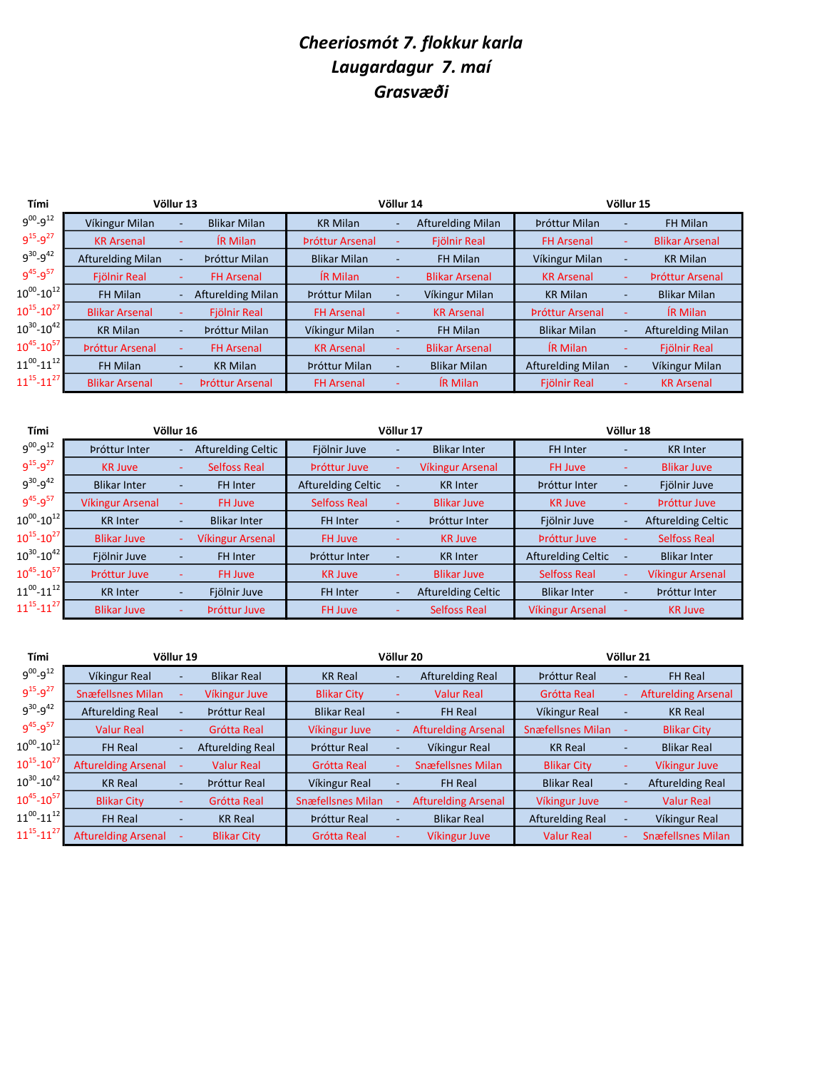## Cheeriosmót 7. flokkur karla Laugardagur 7. maí Grasvæði

| Tími                  |                          | Völlur 13 |                          |                        | Völlur 14 | Völlur 15                |                          |                          |                          |
|-----------------------|--------------------------|-----------|--------------------------|------------------------|-----------|--------------------------|--------------------------|--------------------------|--------------------------|
| $9^{00} - 9^{12}$     | Víkingur Milan           |           | <b>Blikar Milan</b>      | <b>KR Milan</b>        |           | <b>Afturelding Milan</b> | Þróttur Milan            | $\overline{\phantom{a}}$ | <b>FH Milan</b>          |
| $9^{15} - 9^{27}$     | <b>KR Arsenal</b>        |           | IR Milan                 | <b>Próttur Arsenal</b> |           | <b>Fjölnir Real</b>      | <b>FH Arsenal</b>        |                          | <b>Blikar Arsenal</b>    |
| $9^{30} - 9^{42}$     | <b>Afturelding Milan</b> |           | Þróttur Milan            | <b>Blikar Milan</b>    |           | FH Milan                 | Víkingur Milan           |                          | <b>KR Milan</b>          |
| $9^{45} - 9^{57}$     | <b>Fiölnir Real</b>      |           | <b>FH Arsenal</b>        | <b>IR Milan</b>        |           | <b>Blikar Arsenal</b>    | <b>KR Arsenal</b>        |                          | <b>Próttur Arsenal</b>   |
| $10^{00} - 10^{12}$   | FH Milan                 |           | <b>Afturelding Milan</b> | Þróttur Milan          |           | Víkingur Milan           | <b>KR Milan</b>          |                          | <b>Blikar Milan</b>      |
| $10^{15} - 10^{27}$   | <b>Blikar Arsenal</b>    |           | Fjölnir Real             | <b>FH Arsenal</b>      |           | <b>KR Arsenal</b>        | <b>Próttur Arsenal</b>   |                          | <b>IR Milan</b>          |
| $10^{30}$ - $10^{42}$ | <b>KR Milan</b>          | ۰         | Þróttur Milan            | Víkingur Milan         |           | FH Milan                 | <b>Blikar Milan</b>      |                          | <b>Afturelding Milan</b> |
| $10^{45}$ - $10^{57}$ | <b>Próttur Arsenal</b>   |           | <b>FH Arsenal</b>        | <b>KR Arsenal</b>      |           | <b>Blikar Arsenal</b>    | <b>IR Milan</b>          |                          | Fjölnir Real             |
| $11^{00}$ - $11^{12}$ | FH Milan                 |           | <b>KR Milan</b>          | Þróttur Milan          |           | <b>Blikar Milan</b>      | <b>Afturelding Milan</b> |                          | Víkingur Milan           |
| $11^{15} - 11^{27}$   | <b>Blikar Arsenal</b>    |           | <b>Próttur Arsenal</b>   | <b>FH Arsenal</b>      |           | <b>IR Milan</b>          | <b>Fjölnir Real</b>      |                          | <b>KR Arsenal</b>        |

| Tími                |                         | Völlur 16 |                           |                           | Völlur 17                | Völlur 18                 |                           |                          |                           |
|---------------------|-------------------------|-----------|---------------------------|---------------------------|--------------------------|---------------------------|---------------------------|--------------------------|---------------------------|
| $9^{00} - 9^{12}$   | Þróttur Inter           |           | <b>Afturelding Celtic</b> | Fjölnir Juve              |                          | <b>Blikar Inter</b>       | <b>FH Inter</b>           |                          | <b>KR</b> Inter           |
| $9^{15} - 9^{27}$   | <b>KR Juve</b>          |           | <b>Selfoss Real</b>       | <b>Próttur Juve</b>       |                          | <b>Víkingur Arsenal</b>   | <b>FH Juve</b>            |                          | <b>Blikar Juve</b>        |
| $9^{30} - 9^{42}$   | <b>Blikar Inter</b>     | ٠         | FH Inter                  | <b>Afturelding Celtic</b> | ٠                        | <b>KR</b> Inter           | Þróttur Inter             | $\overline{\phantom{a}}$ | Fjölnir Juve              |
| $9^{45} - 9^{57}$   | <b>Víkingur Arsenal</b> |           | FH Juve                   | <b>Selfoss Real</b>       |                          | <b>Blikar Juve</b>        | <b>KR Juve</b>            |                          | <b>Próttur Juve</b>       |
| $10^{00} - 10^{12}$ | <b>KR</b> Inter         |           | <b>Blikar Inter</b>       | <b>FH Inter</b>           | $\overline{\phantom{0}}$ | Þróttur Inter             | Fjölnir Juve              |                          | <b>Afturelding Celtic</b> |
| $10^{15} - 10^{27}$ | <b>Blikar Juve</b>      |           | <b>Víkingur Arsenal</b>   | FH Juve                   |                          | <b>KR Juve</b>            | Próttur Juve              |                          | <b>Selfoss Real</b>       |
| $10^{30} - 10^{42}$ | Fjölnir Juve            |           | FH Inter                  | Þróttur Inter             |                          | <b>KR</b> Inter           | <b>Afturelding Celtic</b> |                          | <b>Blikar Inter</b>       |
| $10^{45} - 10^{57}$ | <b>Próttur Juve</b>     |           | <b>FH Juve</b>            | <b>KR Juve</b>            |                          | <b>Blikar Juve</b>        | <b>Selfoss Real</b>       |                          | <b>Víkingur Arsenal</b>   |
| $11^{00} - 11^{12}$ | <b>KR</b> Inter         | ٠         | Fjölnir Juve              | <b>FH Inter</b>           | ۰                        | <b>Afturelding Celtic</b> | <b>Blikar Inter</b>       | ٠                        | Þróttur Inter             |
| $11^{15} - 11^{27}$ | <b>Blikar Juve</b>      | ۰         | <b>Próttur Juve</b>       | FH Juve                   |                          | <b>Selfoss Real</b>       | <b>Víkingur Arsenal</b>   |                          | <b>KR Juve</b>            |

| Tími                |                            | Völlur 19 |                         |                          | Völlur 20 | Völlur 21                  |                          |  |                            |
|---------------------|----------------------------|-----------|-------------------------|--------------------------|-----------|----------------------------|--------------------------|--|----------------------------|
| $9^{00} - 9^{12}$   | Víkingur Real              |           | <b>Blikar Real</b>      | <b>KR Real</b>           |           | <b>Afturelding Real</b>    | <b>Próttur Real</b>      |  | <b>FH Real</b>             |
| $9^{15} - 9^{27}$   | <b>Snæfellsnes Milan</b>   |           | Víkingur Juve           | <b>Blikar City</b>       |           | <b>Valur Real</b>          | Grótta Real              |  | <b>Afturelding Arsenal</b> |
| $9^{30} - 9^{42}$   | <b>Afturelding Real</b>    |           | <b>Próttur Real</b>     | <b>Blikar Real</b>       |           | <b>FH Real</b>             | Víkingur Real            |  | <b>KR Real</b>             |
| $9^{45} - 9^{57}$   | <b>Valur Real</b>          |           | Grótta Real             | Víkingur Juve            |           | <b>Afturelding Arsenal</b> | <b>Snæfellsnes Milan</b> |  | <b>Blikar City</b>         |
| $10^{00} - 10^{12}$ | <b>FH Real</b>             |           | <b>Afturelding Real</b> | <b>Próttur Real</b>      |           | Víkingur Real              | <b>KR Real</b>           |  | <b>Blikar Real</b>         |
| $10^{15} - 10^{27}$ | <b>Afturelding Arsenal</b> |           | <b>Valur Real</b>       | Grótta Real              |           | <b>Snæfellsnes Milan</b>   | <b>Blikar City</b>       |  | Víkingur Juve              |
| $10^{30} - 10^{42}$ | <b>KR Real</b>             |           | <b>Próttur Real</b>     | Víkingur Real            |           | <b>FH Real</b>             | <b>Blikar Real</b>       |  | <b>Afturelding Real</b>    |
| $10^{45} - 10^{57}$ | <b>Blikar City</b>         |           | Grótta Real             | <b>Snæfellsnes Milan</b> |           | <b>Afturelding Arsenal</b> | Víkingur Juve            |  | <b>Valur Real</b>          |
| $11^{00} - 11^{12}$ | <b>FH Real</b>             |           | <b>KR Real</b>          | <b>Próttur Real</b>      |           | <b>Blikar Real</b>         | <b>Afturelding Real</b>  |  | Víkingur Real              |
| $11^{15} - 11^{27}$ | <b>Afturelding Arsenal</b> |           | <b>Blikar City</b>      | Grótta Real              |           | Víkingur Juve              | <b>Valur Real</b>        |  | <b>Snæfellsnes Milan</b>   |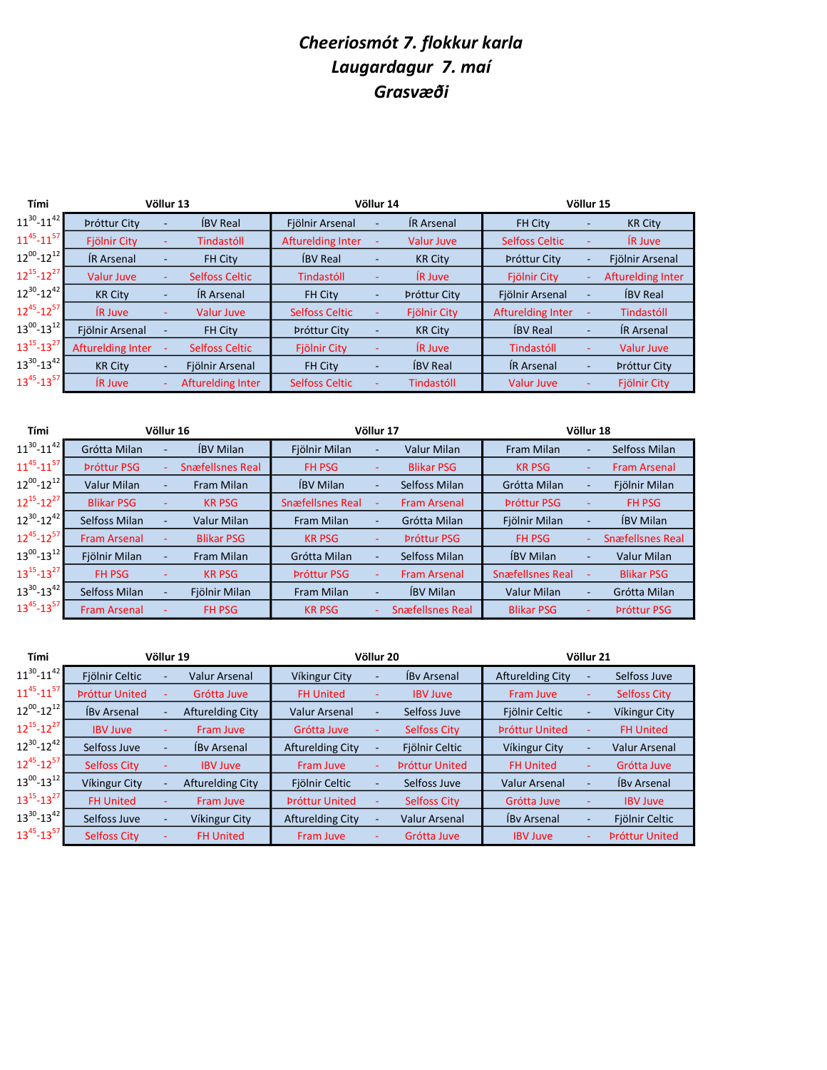## Cheeriosmót 7. flokkur karla Laugardagur 7. maí Grasvæði

| Tími                |                     | Völlur 13 |                          | Völlur 14                |   | Völlur 15           |                          |    |                     |
|---------------------|---------------------|-----------|--------------------------|--------------------------|---|---------------------|--------------------------|----|---------------------|
| $11^{30} - 11^{42}$ | <b>Próttur City</b> | ٠         | <b>IBV Real</b>          | Fjölnir Arsenal          |   | <b>IR Arsenal</b>   | <b>FH City</b>           |    | <b>KR City</b>      |
| $11^{45} - 11^{57}$ | Fjölnir City        |           | Tindastóll               | <b>Afturelding Inter</b> |   | <b>Valur Juve</b>   | <b>Selfoss Celtic</b>    |    | <b>IR Juve</b>      |
| $12^{00} - 12^{12}$ | <b>IR Arsenal</b>   | ٠         | <b>FH City</b>           | <b>IBV</b> Real          |   | <b>KR City</b>      | <b>Próttur City</b>      |    | Fjölnir Arsenal     |
| $12^{15} - 12^{27}$ | <b>Valur Juve</b>   | ٠         | <b>Selfoss Celtic</b>    | Tindastóll               |   | <b>IR Juve</b>      | <b>Fjölnir City</b>      | ÷  | Afturelding Inter   |
| $12^{30} - 12^{42}$ | <b>KR City</b>      | ٠         | <b>IR Arsenal</b>        | <b>FH City</b>           |   | <b>Próttur City</b> | Fjölnir Arsenal          |    | <b>IBV</b> Real     |
| $12^{45} - 12^{57}$ | <b>IR Juve</b>      | ٠         | <b>Valur Juve</b>        | <b>Selfoss Celtic</b>    | ٠ | <b>Fjölnir City</b> | <b>Afturelding Inter</b> |    | Tindastóll          |
| $13^{00} - 13^{12}$ | Fjölnir Arsenal     |           | <b>FH City</b>           | <b>Próttur City</b>      |   | <b>KR City</b>      | <b>IBV</b> Real          | ۰  | <b>IR Arsenal</b>   |
| $13^{15} - 13^{27}$ | Afturelding Inter   |           | <b>Selfoss Celtic</b>    | <b>Fjölnir City</b>      |   | <b>IR Juve</b>      | Tindastóll               | ÷  | Valur Juve          |
| $13^{30} - 13^{42}$ | <b>KR City</b>      | ٠         | Fjölnir Arsenal          | <b>FH City</b>           | ۰ | <b>IBV</b> Real     | <b>IR Arsenal</b>        | ٠. | <b>Próttur City</b> |
| $13^{45} - 13^{57}$ | <b>IR Juve</b>      |           | <b>Afturelding Inter</b> | <b>Selfoss Celtic</b>    |   | Tindastóll          | <b>Valur Juve</b>        |    | Fjölnir City        |

| Tími                |                     | Völlur 16                |                         | Völlur 17               |                          | Völlur 18               |                         |   |                         |
|---------------------|---------------------|--------------------------|-------------------------|-------------------------|--------------------------|-------------------------|-------------------------|---|-------------------------|
| $11^{30} - 11^{42}$ | Grótta Milan        | $\overline{\phantom{a}}$ | <b>ÍBV Milan</b>        | Fjölnir Milan           | ٠                        | <b>Valur Milan</b>      | Fram Milan              |   | Selfoss Milan           |
| $11^{45} - 11^{57}$ | <b>Próttur PSG</b>  |                          | <b>Snæfellsnes Real</b> | <b>FH PSG</b>           |                          | <b>Blikar PSG</b>       | <b>KR PSG</b>           |   | <b>Fram Arsenal</b>     |
| $12^{00} - 12^{12}$ | <b>Valur Milan</b>  | $\overline{\phantom{a}}$ | Fram Milan              | <b>IBV Milan</b>        | $\overline{\phantom{a}}$ | Selfoss Milan           | Grótta Milan            |   | Fjölnir Milan           |
| $12^{15} - 12^{27}$ | <b>Blikar PSG</b>   |                          | <b>KR PSG</b>           | <b>Snæfellsnes Real</b> |                          | <b>Fram Arsenal</b>     | <b>Próttur PSG</b>      |   | <b>FH PSG</b>           |
| $12^{30} - 12^{42}$ | Selfoss Milan       | $\overline{\phantom{a}}$ | <b>Valur Milan</b>      | Fram Milan              | ٠                        | Grótta Milan            | Fjölnir Milan           | ٠ | <b>IBV Milan</b>        |
| $12^{45} - 12^{57}$ | <b>Fram Arsenal</b> |                          | <b>Blikar PSG</b>       | <b>KR PSG</b>           |                          | <b>Próttur PSG</b>      | <b>FH PSG</b>           |   | <b>Snæfellsnes Real</b> |
| $13^{00} - 13^{12}$ | Fjölnir Milan       | $\overline{\phantom{a}}$ | Fram Milan              | Grótta Milan            |                          | Selfoss Milan           | <b>IBV Milan</b>        |   | <b>Valur Milan</b>      |
| $13^{15} - 13^{27}$ | FH PSG              | $\sim$                   | <b>KR PSG</b>           | <b>Próttur PSG</b>      |                          | <b>Fram Arsenal</b>     | <b>Snæfellsnes Real</b> |   | <b>Blikar PSG</b>       |
| $13^{30} - 13^{42}$ | Selfoss Milan       |                          | Fjölnir Milan           | Fram Milan              | ۰.                       | <b>IBV Milan</b>        | <b>Valur Milan</b>      |   | Grótta Milan            |
| $13^{45} - 13^{57}$ | <b>Fram Arsenal</b> |                          | FH PSG                  | <b>KR PSG</b>           |                          | <b>Snæfellsnes Real</b> | <b>Blikar PSG</b>       |   | <b>Próttur PSG</b>      |

| Tími                |                       | Völlur 19 |                         |                         | Völlur 20 |                       |                         |   | Völlur 21             |  |  |  |
|---------------------|-----------------------|-----------|-------------------------|-------------------------|-----------|-----------------------|-------------------------|---|-----------------------|--|--|--|
| $11^{30} - 11^{42}$ | Fjölnir Celtic        | ٠         | <b>Valur Arsenal</b>    | Víkingur City           |           | <b>ÍBy Arsenal</b>    | <b>Afturelding City</b> |   | Selfoss Juve          |  |  |  |
| $11^{45} - 11^{57}$ | <b>Próttur United</b> |           | Grótta Juve             | <b>FH United</b>        |           | <b>IBV Juve</b>       | Fram Juve               |   | <b>Selfoss City</b>   |  |  |  |
| $12^{00} - 12^{12}$ | <b>IBy Arsenal</b>    | ٠         | <b>Afturelding City</b> | <b>Valur Arsenal</b>    |           | Selfoss Juve          | Fjölnir Celtic          |   | Víkingur City         |  |  |  |
| $12^{15} - 12^{27}$ | <b>IBV Juve</b>       |           | Fram Juve               | Grótta Juve             |           | <b>Selfoss City</b>   | <b>Próttur United</b>   |   | <b>FH United</b>      |  |  |  |
| $12^{30} - 12^{42}$ | Selfoss Juve          | ٠         | <b>IBy Arsenal</b>      | <b>Afturelding City</b> |           | Fjölnir Celtic        | Víkingur City           |   | <b>Valur Arsenal</b>  |  |  |  |
| $12^{45} - 12^{57}$ | <b>Selfoss City</b>   |           | <b>IBV Juve</b>         | Fram Juve               |           | <b>Próttur United</b> | <b>FH United</b>        |   | Grótta Juve           |  |  |  |
| $13^{00} - 13^{12}$ | Víkingur City         | ۰         | <b>Afturelding City</b> | Fjölnir Celtic          |           | Selfoss Juve          | <b>Valur Arsenal</b>    |   | <b>ÍBy Arsenal</b>    |  |  |  |
| $13^{15} - 13^{27}$ | <b>FH United</b>      |           | Fram Juve               | <b>Próttur United</b>   |           | <b>Selfoss City</b>   | Grótta Juve             |   | <b>IBV Juve</b>       |  |  |  |
| $13^{30} - 13^{42}$ | Selfoss Juve          | ٠         | Víkingur City           | <b>Afturelding City</b> |           | <b>Valur Arsenal</b>  | <b>ÍBy Arsenal</b>      |   | Fjölnir Celtic        |  |  |  |
| $13^{45} - 13^{57}$ | <b>Selfoss City</b>   |           | <b>FH United</b>        | Fram Juve               |           | Grótta Juve           | <b>IBV Juve</b>         | ٠ | <b>Próttur United</b> |  |  |  |